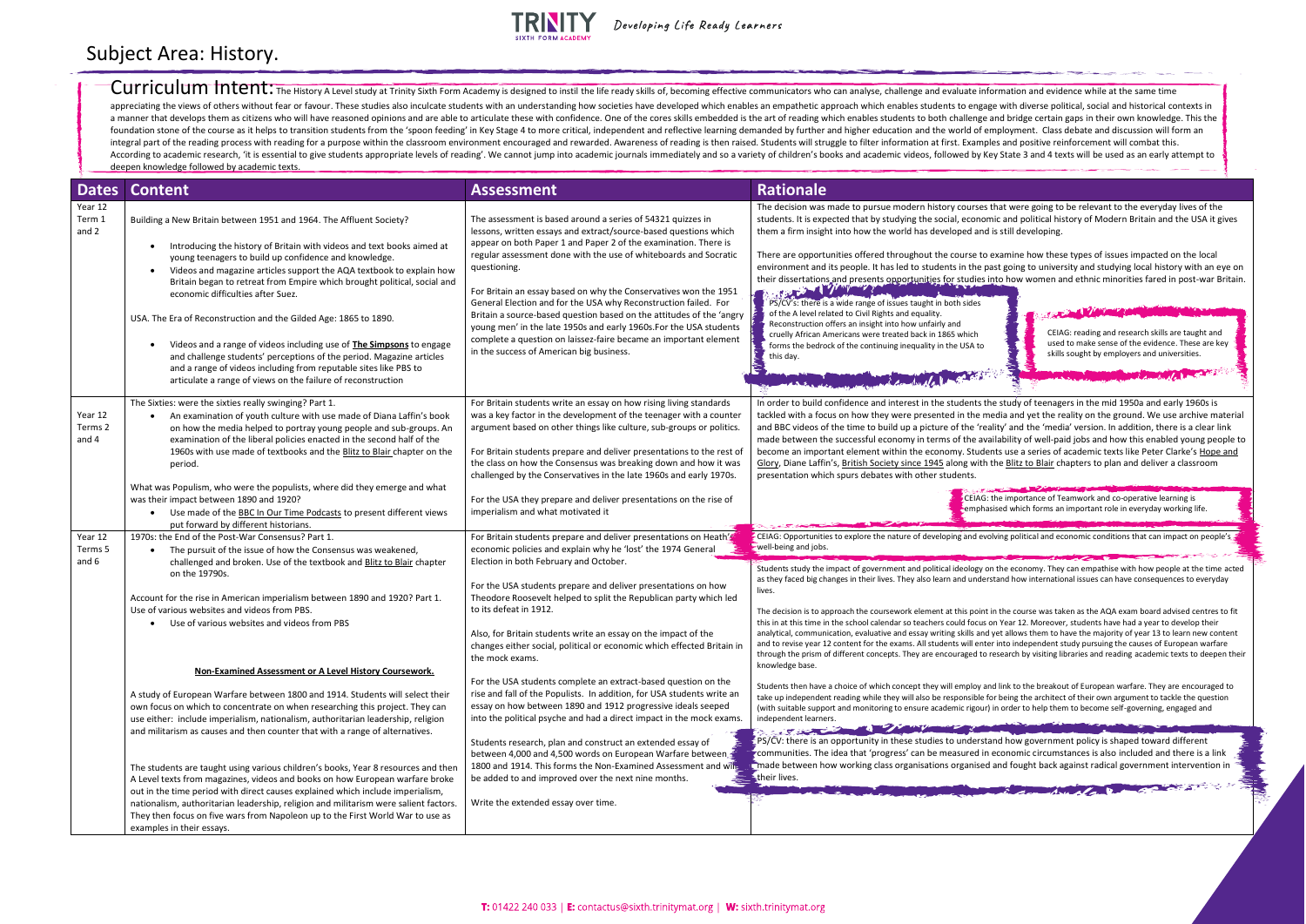## **TRINITY**

Developing Life Ready Learners

Curriculum Intent: The History A Level study at Trinity Sixth Form Academy is designed to instil the life ready skills of, becoming effective communicators who can analyse, challenge and evaluate information and evidence w appreciating the views of others without fear or favour. These studies also inculcate students with an understanding how societies have developed which enables an empathetic approach which enables students to engage with d a manner that develops them as citizens who will have reasoned opinions and are able to articulate these with confidence. One of the cores skills embedded is the art of reading which enables students to both challenge and foundation stone of the course as it helps to transition students from the 'spoon feeding' in Key Stage 4 to more critical, independent and reflective learning demanded by further and higher education and the world of empl integral part of the reading process with reading for a purpose within the classroom environment encouraged and rewarded. Awareness of reading is then raised. Students will struggle to filter information at first. Examples According to academic research, 'it is essential to give students appropriate levels of reading'. We cannot jump into academic journals immediately and so a variety of children's books and academic videos, followed by Key deepen knowledge followed by academic texts.

| <b>Dates</b>                | <b>Content</b>                                                                                                                                                                                                                                                                                                                                                                                                                                                                                                                                                                                                                                                                                                                                          | <b>Assessment</b>                                                                                                                                                                                                                                                                                                                                                                                                                                                                                                                                                                                                                                                                           | <b>Rationale</b>                                                                                                                                                                                                                                                                                                                                                                                                                                                                                                                                                                                                                                                                                                                                    |
|-----------------------------|---------------------------------------------------------------------------------------------------------------------------------------------------------------------------------------------------------------------------------------------------------------------------------------------------------------------------------------------------------------------------------------------------------------------------------------------------------------------------------------------------------------------------------------------------------------------------------------------------------------------------------------------------------------------------------------------------------------------------------------------------------|---------------------------------------------------------------------------------------------------------------------------------------------------------------------------------------------------------------------------------------------------------------------------------------------------------------------------------------------------------------------------------------------------------------------------------------------------------------------------------------------------------------------------------------------------------------------------------------------------------------------------------------------------------------------------------------------|-----------------------------------------------------------------------------------------------------------------------------------------------------------------------------------------------------------------------------------------------------------------------------------------------------------------------------------------------------------------------------------------------------------------------------------------------------------------------------------------------------------------------------------------------------------------------------------------------------------------------------------------------------------------------------------------------------------------------------------------------------|
| Year 12<br>Term 1<br>and 2  | Building a New Britain between 1951 and 1964. The Affluent Society?<br>Introducing the history of Britain with videos and text books aimed at<br>young teenagers to build up confidence and knowledge.<br>Videos and magazine articles support the AQA textbook to explain how<br>Britain began to retreat from Empire which brought political, social and<br>economic difficulties after Suez.<br>USA. The Era of Reconstruction and the Gilded Age: 1865 to 1890.<br>Videos and a range of videos including use of The Simpsons to engage<br>and challenge students' perceptions of the period. Magazine articles<br>and a range of videos including from reputable sites like PBS to<br>articulate a range of views on the failure of reconstruction | The assessment is based around a series of 54321 quizzes in<br>lessons, written essays and extract/source-based questions which<br>appear on both Paper 1 and Paper 2 of the examination. There is<br>regular assessment done with the use of whiteboards and Socratic<br>questioning.<br>For Britain an essay based on why the Conservatives won the 1951<br>General Election and for the USA why Reconstruction failed. For<br>Britain a source-based question based on the attitudes of the 'angry<br>young men' in the late 1950s and early 1960s. For the USA students<br>complete a question on laissez-faire became an important element<br>in the success of American big business. | The decision was made to pursue modern history courses<br>students. It is expected that by studying the social, econon<br>them a firm insight into how the world has developed and<br>There are opportunities offered throughout the course to<br>environment and its people. It has led to students in the pa<br>their dissertations and presents opportunities for studies i<br><b>THE REAL PROPERTY AND INCOME.</b><br>PS/CV's: there is a wide range of issues taught in both sides<br>of the A level related to Civil Rights and equality.<br>Reconstruction offers an insight into how unfairly and<br>cruelly African Americans were treated back in 1865 which<br>forms the bedrock of the continuing inequality in the USA to<br>this day. |
| Year 12<br>Terms 2<br>and 4 | The Sixties: were the sixties really swinging? Part 1.<br>An examination of youth culture with use made of Diana Laffin's book<br>on how the media helped to portray young people and sub-groups. An<br>examination of the liberal policies enacted in the second half of the<br>1960s with use made of textbooks and the Blitz to Blair chapter on the<br>period.<br>What was Populism, who were the populists, where did they emerge and what<br>was their impact between 1890 and 1920?<br>Use made of the BBC In Our Time Podcasts to present different views<br>$\bullet$                                                                                                                                                                          | For Britain students write an essay on how rising living standards<br>was a key factor in the development of the teenager with a counter<br>argument based on other things like culture, sub-groups or politics.<br>For Britain students prepare and deliver presentations to the rest of<br>the class on how the Consensus was breaking down and how it was<br>challenged by the Conservatives in the late 1960s and early 1970s.<br>For the USA they prepare and deliver presentations on the rise of<br>imperialism and what motivated it                                                                                                                                                | In order to build confidence and interest in the students th<br>tackled with a focus on how they were presented in the m<br>and BBC videos of the time to build up a picture of the 'rea<br>made between the successful economy in terms of the ava<br>become an important element within the economy. Stude<br>Glory, Diane Laffin's, British Society since 1945 along with<br>presentation which spurs debates with other students.<br>CEIAG:<br>-empha                                                                                                                                                                                                                                                                                           |
| Year 12<br>Terms 5<br>and 6 | put forward by different historians.<br>1970s: the End of the Post-War Consensus? Part 1.<br>The pursuit of the issue of how the Consensus was weakened,<br>$\bullet$<br>challenged and broken. Use of the textbook and Blitz to Blair chapter                                                                                                                                                                                                                                                                                                                                                                                                                                                                                                          | For Britain students prepare and deliver presentations on Heath's<br>economic policies and explain why he 'lost' the 1974 General<br>Election in both February and October.                                                                                                                                                                                                                                                                                                                                                                                                                                                                                                                 | $\frac{1}{2}$ CEIAG: Opportunities to explore the nature of developing and evo<br>well-being and jobs.                                                                                                                                                                                                                                                                                                                                                                                                                                                                                                                                                                                                                                              |
|                             | on the 19790s.<br>Account for the rise in American imperialism between 1890 and 1920? Part 1.<br>Use of various websites and videos from PBS.<br>Use of various websites and videos from PBS                                                                                                                                                                                                                                                                                                                                                                                                                                                                                                                                                            | For the USA students prepare and deliver presentations on how<br>Theodore Roosevelt helped to split the Republican party which led<br>to its defeat in 1912.<br>Also, for Britain students write an essay on the impact of the<br>changes either social, political or economic which effected Britain in<br>the mock exams.                                                                                                                                                                                                                                                                                                                                                                 | Students study the impact of government and political ideology o<br>as they faced big changes in their lives. They also learn and under<br>lives.<br>The decision is to approach the coursework element at this point<br>this in at this time in the school calendar so teachers could focus o<br>analytical, communication, evaluative and essay writing skills and<br>and to revise year 12 content for the exams. All students will ente<br>through the prism of different concepts. They are encouraged to                                                                                                                                                                                                                                      |
|                             | Non-Examined Assessment or A Level History Coursework.                                                                                                                                                                                                                                                                                                                                                                                                                                                                                                                                                                                                                                                                                                  | For the USA students complete an extract-based question on the                                                                                                                                                                                                                                                                                                                                                                                                                                                                                                                                                                                                                              | knowledge base.                                                                                                                                                                                                                                                                                                                                                                                                                                                                                                                                                                                                                                                                                                                                     |
|                             | A study of European Warfare between 1800 and 1914. Students will select their<br>own focus on which to concentrate on when researching this project. They can<br>use either: include imperialism, nationalism, authoritarian leadership, religion<br>and militarism as causes and then counter that with a range of alternatives.                                                                                                                                                                                                                                                                                                                                                                                                                       | rise and fall of the Populists. In addition, for USA students write an<br>essay on how between 1890 and 1912 progressive ideals seeped<br>into the political psyche and had a direct impact in the mock exams.<br>Students research, plan and construct an extended essay of                                                                                                                                                                                                                                                                                                                                                                                                                | Students then have a choice of which concept they will employ ar<br>take up independent reading while they will also be responsible fo<br>(with suitable support and monitoring to ensure academic rigour)<br>independent learners.<br>The Committee of the Committee of the Committee of the Committee of the Committee of the Committee of the Committee of the Committee of the Committee of the Committee of the Committee of the Committee of the Committee of t<br>EPS/CV: there is an opportunity in these studies to understa<br>communities. The idea that 'progress' can be measured in                                                                                                                                                   |
|                             | The students are taught using various children's books, Year 8 resources and then<br>A Level texts from magazines, videos and books on how European warfare broke<br>out in the time period with direct causes explained which include imperialism,<br>nationalism, authoritarian leadership, religion and militarism were salient factors.<br>They then focus on five wars from Napoleon up to the First World War to use as<br>examples in their essays.                                                                                                                                                                                                                                                                                              | between 4,000 and 4,500 words on European Warfare between<br>1800 and 1914. This forms the Non-Examined Assessment and wife<br>be added to and improved over the next nine months.<br>Write the extended essay over time.                                                                                                                                                                                                                                                                                                                                                                                                                                                                   | a made between how working class organisations organised<br>their lives.                                                                                                                                                                                                                                                                                                                                                                                                                                                                                                                                                                                                                                                                            |

that were going to be relevant to the everyday lives of the mic and political history of Modern Britain and the USA it gives is still developing.

examine how these types of issues impacted on the local bast going to university and studying local history with an eye on into how women and ethnic minorities fared in post-war Britain.

## Subject Area: History.

CEIAG: reading and research skills are taught and used to make sense of the evidence. These are key skills sought by employers and universities.

he study of teenagers in the mid 1950a and early 1960s is nedia and yet the reality on the ground. We use archive material ality' and the 'media' version. In addition, there is a clear link railability of well-paid jobs and how this enabled young people to ents use a series of academic texts like Peter Clarke's Hope and the Blitz to Blair chapters to plan and deliver a classroom

the importance of Teamwork and co-operative learning is sised which forms an important role in everyday working life.

I ving political and economic conditions that can impact on people's

on the economy. They can empathise with how people at the time acted rstand how international issues can have consequences to everyday

t in the course was taken as the AQA exam board advised centres to fit on Year 12. Moreover, students have had a year to develop their I yet allows them to have the majority of year 13 to learn new content er into independent study pursuing the causes of European warfare research by visiting libraries and reading academic texts to deepen their

nd link to the breakout of European warfare. They are encouraged to for being the architect of their own argument to tackle the question in order to help them to become self-governing, engaged and

and how government policy is shaped toward different economic circumstances is also included and there is a link and fought back against radical government intervention in